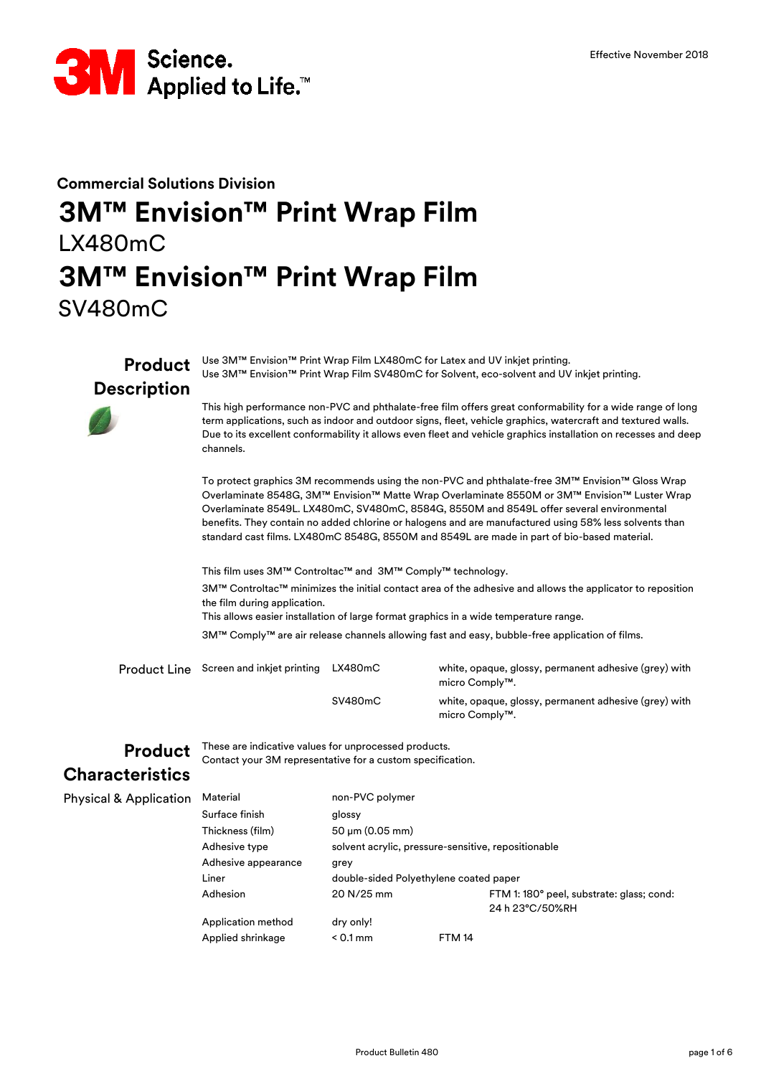

# **3M™ Envision™ Print Wrap Film** SV480mC **Commercial Solutions Division 3M™ Envision™ Print Wrap Film** LX480mC

**Product Description** Use 3M™ Envision™ Print Wrap Film LX480mC for Latex and UV inkjet printing. Use 3M™ Envision™ Print Wrap Film SV480mC for Solvent, eco-solvent and UV inkjet printing.

> This high performance non-PVC and phthalate-free film offers great conformability for a wide range of long term applications, such as indoor and outdoor signs, fleet, vehicle graphics, watercraft and textured walls. Due to its excellent conformability it allows even fleet and vehicle graphics installation on recesses and deep channels.

To protect graphics 3M recommends using the non-PVC and phthalate-free 3M™ Envision™ Gloss Wrap Overlaminate 8548G, 3M™ Envision™ Matte Wrap Overlaminate 8550M or 3M™ Envision™ Luster Wrap Overlaminate 8549L. LX480mC, SV480mC, 8584G, 8550M and 8549L offer several environmental benefits. They contain no added chlorine or halogens and are manufactured using 58% less solvents than standard cast films. LX480mC 8548G, 8550M and 8549L are made in part of bio-based material.

This allows easier installation of large format graphics in a wide temperature range. 3M™ Comply™ are air release channels allowing fast and easy, bubble-free application of films. This film uses 3M™ Controltac™ and 3M™ Comply™ technology. 3M™ Controltac™ minimizes the initial contact area of the adhesive and allows the applicator to reposition the film during application.

| Product Line | Screen and inkjet printing | LX480mC | white, opaque, glossy, permanent adhesive (grey) with<br>micro Comply™. |
|--------------|----------------------------|---------|-------------------------------------------------------------------------|
|              |                            | SV480mC | white, opaque, glossy, permanent adhesive (grey) with<br>micro Comply™. |

**Product** These are indicative values for unprocessed products. Contact your 3M representative for a custom specification.

#### **Characteristics**

Physical & A

| pplication | Material            | non-PVC polymer              |                                                     |                                          |  |
|------------|---------------------|------------------------------|-----------------------------------------------------|------------------------------------------|--|
|            | Surface finish      | glossy                       |                                                     |                                          |  |
|            | Thickness (film)    | $50 \mu m (0.05 \text{ mm})$ |                                                     |                                          |  |
|            | Adhesive type       |                              | solvent acrylic, pressure-sensitive, repositionable |                                          |  |
|            | Adhesive appearance | grey                         |                                                     |                                          |  |
|            | Liner               |                              | double-sided Polyethylene coated paper              |                                          |  |
|            | Adhesion            | 20 N/25 mm                   |                                                     | FTM 1:180° peel, substrate: glass; cond: |  |
|            |                     |                              |                                                     | 24 h 23°C/50%RH                          |  |
|            | Application method  | dry only!                    |                                                     |                                          |  |
|            | Applied shrinkage   | $< 0.1$ mm                   | <b>FTM 14</b>                                       |                                          |  |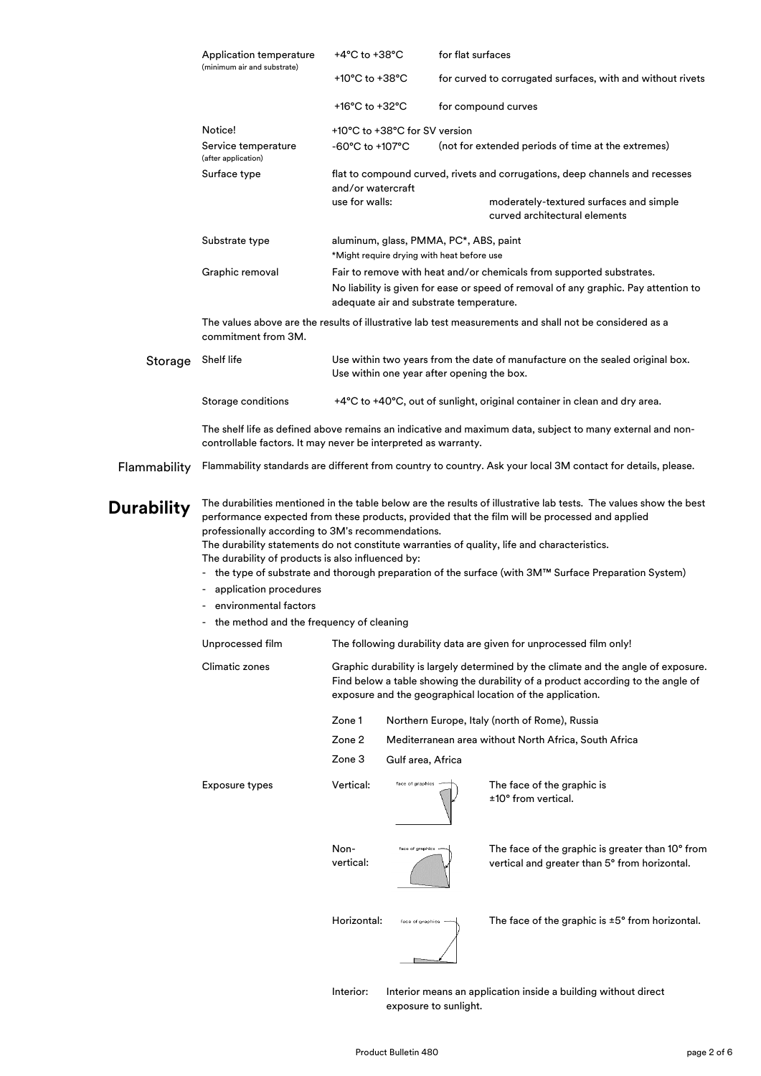|                   | Application temperature<br>(minimum air and substrate)                                                                                                                                                                                                                                                                                                                                                                                                                                                                                 | +4°C to +38°C                                                                                                                                                                                                                        |                                                                                                                             | for flat surfaces |                                                                                                              |
|-------------------|----------------------------------------------------------------------------------------------------------------------------------------------------------------------------------------------------------------------------------------------------------------------------------------------------------------------------------------------------------------------------------------------------------------------------------------------------------------------------------------------------------------------------------------|--------------------------------------------------------------------------------------------------------------------------------------------------------------------------------------------------------------------------------------|-----------------------------------------------------------------------------------------------------------------------------|-------------------|--------------------------------------------------------------------------------------------------------------|
|                   |                                                                                                                                                                                                                                                                                                                                                                                                                                                                                                                                        | +10°C to +38°C                                                                                                                                                                                                                       |                                                                                                                             |                   | for curved to corrugated surfaces, with and without rivets                                                   |
|                   |                                                                                                                                                                                                                                                                                                                                                                                                                                                                                                                                        | +16 $^{\circ}$ C to +32 $^{\circ}$ C                                                                                                                                                                                                 |                                                                                                                             |                   | for compound curves                                                                                          |
|                   | Notice!                                                                                                                                                                                                                                                                                                                                                                                                                                                                                                                                |                                                                                                                                                                                                                                      | +10°C to +38°C for SV version                                                                                               |                   |                                                                                                              |
|                   | Service temperature<br>(after application)                                                                                                                                                                                                                                                                                                                                                                                                                                                                                             | -60°C to +107°C                                                                                                                                                                                                                      |                                                                                                                             |                   | (not for extended periods of time at the extremes)                                                           |
|                   | Surface type                                                                                                                                                                                                                                                                                                                                                                                                                                                                                                                           | and/or watercraft                                                                                                                                                                                                                    |                                                                                                                             |                   | flat to compound curved, rivets and corrugations, deep channels and recesses                                 |
|                   |                                                                                                                                                                                                                                                                                                                                                                                                                                                                                                                                        | use for walls:                                                                                                                                                                                                                       |                                                                                                                             |                   | moderately-textured surfaces and simple<br>curved architectural elements                                     |
|                   | Substrate type                                                                                                                                                                                                                                                                                                                                                                                                                                                                                                                         |                                                                                                                                                                                                                                      | aluminum, glass, PMMA, PC*, ABS, paint<br>*Might require drying with heat before use                                        |                   |                                                                                                              |
|                   | Graphic removal                                                                                                                                                                                                                                                                                                                                                                                                                                                                                                                        | Fair to remove with heat and/or chemicals from supported substrates.<br>No liability is given for ease or speed of removal of any graphic. Pay attention to<br>adequate air and substrate temperature.                               |                                                                                                                             |                   |                                                                                                              |
|                   | commitment from 3M.                                                                                                                                                                                                                                                                                                                                                                                                                                                                                                                    | The values above are the results of illustrative lab test measurements and shall not be considered as a                                                                                                                              |                                                                                                                             |                   |                                                                                                              |
| Storage           | Shelf life                                                                                                                                                                                                                                                                                                                                                                                                                                                                                                                             |                                                                                                                                                                                                                                      | Use within two years from the date of manufacture on the sealed original box.<br>Use within one year after opening the box. |                   |                                                                                                              |
|                   | Storage conditions                                                                                                                                                                                                                                                                                                                                                                                                                                                                                                                     |                                                                                                                                                                                                                                      |                                                                                                                             |                   | +4°C to +40°C, out of sunlight, original container in clean and dry area.                                    |
|                   |                                                                                                                                                                                                                                                                                                                                                                                                                                                                                                                                        | The shelf life as defined above remains an indicative and maximum data, subject to many external and non-<br>controllable factors. It may never be interpreted as warranty.                                                          |                                                                                                                             |                   |                                                                                                              |
| Flammability      |                                                                                                                                                                                                                                                                                                                                                                                                                                                                                                                                        |                                                                                                                                                                                                                                      |                                                                                                                             |                   | Flammability standards are different from country to country. Ask your local 3M contact for details, please. |
| <b>Durability</b> | The durabilities mentioned in the table below are the results of illustrative lab tests. The values show the best<br>performance expected from these products, provided that the film will be processed and applied<br>professionally according to 3M's recommendations.<br>The durability statements do not constitute warranties of quality, life and characteristics.<br>The durability of products is also influenced by:<br>- the type of substrate and thorough preparation of the surface (with 3M™ Surface Preparation System) |                                                                                                                                                                                                                                      |                                                                                                                             |                   |                                                                                                              |
|                   | application procedures                                                                                                                                                                                                                                                                                                                                                                                                                                                                                                                 |                                                                                                                                                                                                                                      |                                                                                                                             |                   |                                                                                                              |
|                   | environmental factors                                                                                                                                                                                                                                                                                                                                                                                                                                                                                                                  |                                                                                                                                                                                                                                      |                                                                                                                             |                   |                                                                                                              |
|                   | the method and the frequency of cleaning                                                                                                                                                                                                                                                                                                                                                                                                                                                                                               |                                                                                                                                                                                                                                      |                                                                                                                             |                   |                                                                                                              |
|                   | Unprocessed film                                                                                                                                                                                                                                                                                                                                                                                                                                                                                                                       |                                                                                                                                                                                                                                      |                                                                                                                             |                   | The following durability data are given for unprocessed film only!                                           |
|                   | Climatic zones                                                                                                                                                                                                                                                                                                                                                                                                                                                                                                                         | Graphic durability is largely determined by the climate and the angle of exposure.<br>Find below a table showing the durability of a product according to the angle of<br>exposure and the geographical location of the application. |                                                                                                                             |                   |                                                                                                              |
|                   |                                                                                                                                                                                                                                                                                                                                                                                                                                                                                                                                        | Zone 1                                                                                                                                                                                                                               |                                                                                                                             |                   | Northern Europe, Italy (north of Rome), Russia                                                               |
|                   |                                                                                                                                                                                                                                                                                                                                                                                                                                                                                                                                        | Zone 2                                                                                                                                                                                                                               |                                                                                                                             |                   | Mediterranean area without North Africa, South Africa                                                        |
|                   |                                                                                                                                                                                                                                                                                                                                                                                                                                                                                                                                        | Zone 3                                                                                                                                                                                                                               | Gulf area, Africa                                                                                                           |                   |                                                                                                              |
|                   | <b>Exposure types</b>                                                                                                                                                                                                                                                                                                                                                                                                                                                                                                                  | Vertical:                                                                                                                                                                                                                            | face of graphics                                                                                                            |                   | The face of the graphic is<br>±10° from vertical.                                                            |
|                   |                                                                                                                                                                                                                                                                                                                                                                                                                                                                                                                                        | Non-<br>vertical:                                                                                                                                                                                                                    | face of graphics                                                                                                            |                   | The face of the graphic is greater than 10° from<br>vertical and greater than 5° from horizontal.            |
|                   |                                                                                                                                                                                                                                                                                                                                                                                                                                                                                                                                        | Horizontal:                                                                                                                                                                                                                          | face of graphics                                                                                                            |                   | The face of the graphic is $\pm 5^{\circ}$ from horizontal.                                                  |
|                   |                                                                                                                                                                                                                                                                                                                                                                                                                                                                                                                                        | Interior:<br>Interior means an application inside a building without direct<br>exposure to sunlight.                                                                                                                                 |                                                                                                                             |                   |                                                                                                              |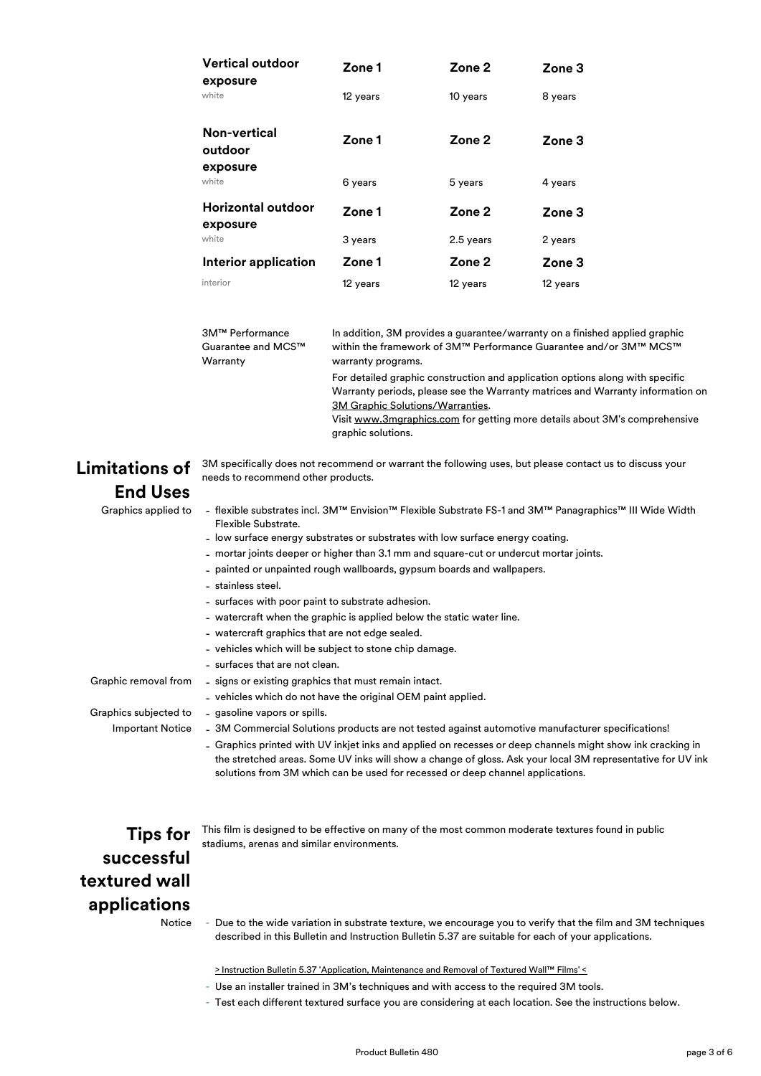| <b>Vertical outdoor</b><br>exposure        | Zone 1   | Zone 2    | Zone 3   |
|--------------------------------------------|----------|-----------|----------|
| white                                      | 12 years | 10 years  | 8 years  |
| <b>Non-vertical</b><br>outdoor<br>exposure | Zone 1   | Zone 2    | Zone 3   |
| white                                      | 6 years  | 5 years   | 4 years  |
| Horizontal outdoor<br>exposure             | Zone 1   | Zone 2    | Zone 3   |
| white                                      | 3 years  | 2.5 years | 2 years  |
| Interior application                       | Zone 1   | Zone 2    | Zone 3   |
| interior                                   | 12 years | 12 years  | 12 years |

| 3M™ Performance    | In addition, 3M provides a guarantee/warranty on a finished applied graphic                                                                                                                                                                                                                             |  |  |
|--------------------|---------------------------------------------------------------------------------------------------------------------------------------------------------------------------------------------------------------------------------------------------------------------------------------------------------|--|--|
| Guarantee and MCS™ | within the framework of 3M™ Performance Guarantee and/or 3M™ MCS™                                                                                                                                                                                                                                       |  |  |
| Warranty           | warranty programs.                                                                                                                                                                                                                                                                                      |  |  |
|                    | For detailed graphic construction and application options along with specific<br>Warranty periods, please see the Warranty matrices and Warranty information on<br>3M Graphic Solutions/Warranties.<br>Visit www.3mgraphics.com for getting more details about 3M's comprehensive<br>graphic solutions. |  |  |

### **Limitations of End Uses**

3M specifically does not recommend or warrant the following uses, but please contact us to discuss your needs to recommend other products.

- Graphics applied to -
- flexible substrates incl. 3M™ Envision™ Flexible Substrate FS-1 and 3M™ Panagraphics™ III Wide Width Flexible Substrate.
- low surface energy substrates or substrates with low surface energy coating.
- mortar joints deeper or higher than 3.1 mm and square-cut or undercut mortar joints.
- painted or unpainted rough wallboards, gypsum boards and wallpapers.
- stainless steel.
- surfaces with poor paint to substrate adhesion.
- watercraft when the graphic is applied below the static water line.
- watercraft graphics that are not edge sealed.
- vehicles which will be subject to stone chip damage.
- surfaces that are not clean.

Graphic removal from -

- vehicles which do not have the original OEM paint applied.

- signs or existing graphics that must remain intact.

Graphics subjected to - **Important Notice** - gasoline vapors or spills.

- 3M Commercial Solutions products are not tested against automotive manufacturer specifications!
- Graphics printed with UV inkjet inks and applied on recesses or deep channels might show ink cracking in the stretched areas. Some UV inks will show a change of gloss. Ask your local 3M representative for UV ink solutions from 3M which can be used for recessed or deep channel applications.

**Tips for successful textured wall applications**

This film is designed to be effective on many of the most common moderate textures found in public stadiums, arenas and similar environments.

**Notice** 

- Due to the wide variation in substrate texture, we encourage you to verify that the film and 3M techniques described in this Bulletin and Instruction Bulletin 5.37 are suitable for each of your applications.

[> Instruction Bulletin 5.37 'Ap](http://multimedia.3m.com/mws/mediawebserver?66666UuZjcFSLXTtNXTaoX&VEVuQEcuZgVs6EVs6E666666--)plication, Maintenance and Removal of Textured Wall™ Films' <

- Use an installer trained in 3M's techniques and with access to the required 3M tools.
- Test each different textured surface you are considering at each location. See the instructions below.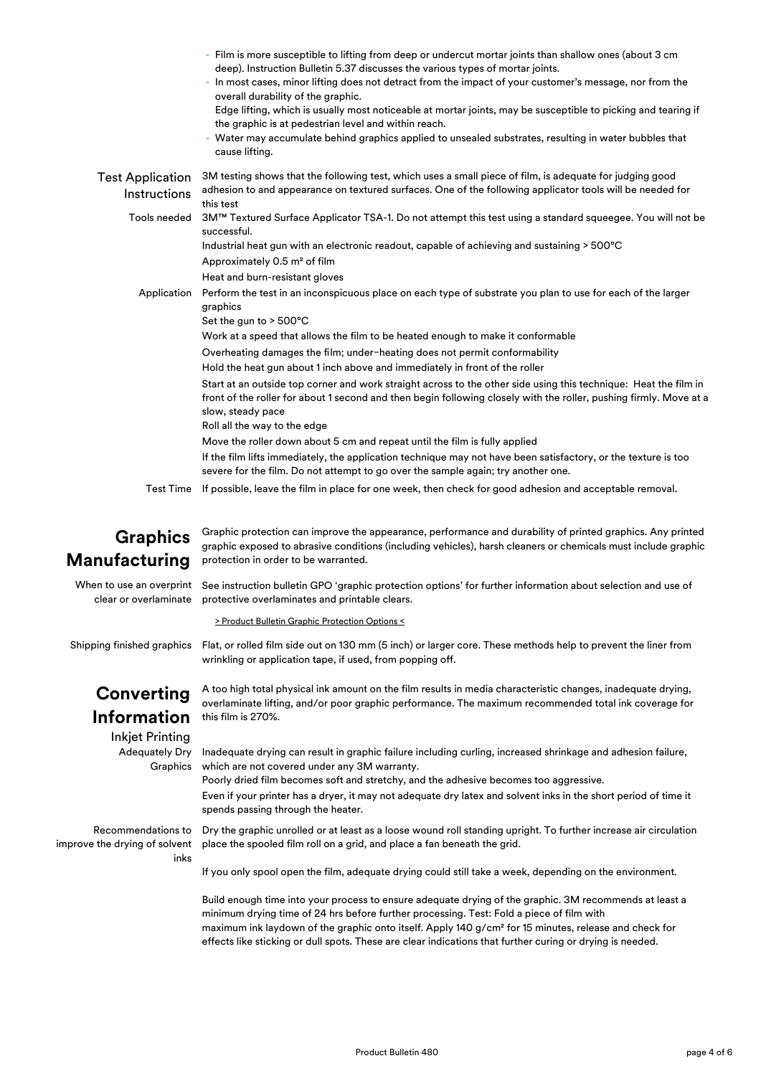|                                                   | - Film is more susceptible to lifting from deep or undercut mortar joints than shallow ones (about 3 cm<br>deep). Instruction Bulletin 5.37 discusses the various types of mortar joints.<br>- In most cases, minor lifting does not detract from the impact of your customer's message, nor from the<br>overall durability of the graphic.<br>Edge lifting, which is usually most noticeable at mortar joints, may be susceptible to picking and tearing if<br>the graphic is at pedestrian level and within reach.<br>- Water may accumulate behind graphics applied to unsealed substrates, resulting in water bubbles that<br>cause lifting.                                                                                                                                                                                                                                                                                                                                      |
|---------------------------------------------------|---------------------------------------------------------------------------------------------------------------------------------------------------------------------------------------------------------------------------------------------------------------------------------------------------------------------------------------------------------------------------------------------------------------------------------------------------------------------------------------------------------------------------------------------------------------------------------------------------------------------------------------------------------------------------------------------------------------------------------------------------------------------------------------------------------------------------------------------------------------------------------------------------------------------------------------------------------------------------------------|
| <b>Test Application</b><br>Instructions           | 3M testing shows that the following test, which uses a small piece of film, is adequate for judging good<br>adhesion to and appearance on textured surfaces. One of the following applicator tools will be needed for<br>this test                                                                                                                                                                                                                                                                                                                                                                                                                                                                                                                                                                                                                                                                                                                                                    |
| Tools needed                                      | 3M™ Textured Surface Applicator TSA-1. Do not attempt this test using a standard squeegee. You will not be<br>successful.<br>Industrial heat gun with an electronic readout, capable of achieving and sustaining $>500^{\circ}$ C<br>Approximately 0.5 m <sup>2</sup> of film<br>Heat and burn-resistant gloves                                                                                                                                                                                                                                                                                                                                                                                                                                                                                                                                                                                                                                                                       |
| Application                                       | Perform the test in an inconspicuous place on each type of substrate you plan to use for each of the larger<br>graphics<br>Set the gun to > 500°C<br>Work at a speed that allows the film to be heated enough to make it conformable<br>Overheating damages the film; under-heating does not permit conformability<br>Hold the heat gun about 1 inch above and immediately in front of the roller<br>Start at an outside top corner and work straight across to the other side using this technique: Heat the film in<br>front of the roller for about 1 second and then begin following closely with the roller, pushing firmly. Move at a<br>slow, steady pace<br>Roll all the way to the edge<br>Move the roller down about 5 cm and repeat until the film is fully applied<br>If the film lifts immediately, the application technique may not have been satisfactory, or the texture is too<br>severe for the film. Do not attempt to go over the sample again; try another one. |
|                                                   | Test Time If possible, leave the film in place for one week, then check for good adhesion and acceptable removal.                                                                                                                                                                                                                                                                                                                                                                                                                                                                                                                                                                                                                                                                                                                                                                                                                                                                     |
| <b>Graphics</b><br><b>Manufacturing</b>           | Graphic protection can improve the appearance, performance and durability of printed graphics. Any printed<br>graphic exposed to abrasive conditions (including vehicles), harsh cleaners or chemicals must include graphic<br>protection in order to be warranted.                                                                                                                                                                                                                                                                                                                                                                                                                                                                                                                                                                                                                                                                                                                   |
| When to use an overprint<br>clear or overlaminate | See instruction bulletin GPO 'graphic protection options' for further information about selection and use of<br>protective overlaminates and printable clears.<br>> Product Bulletin Graphic Protection Options <                                                                                                                                                                                                                                                                                                                                                                                                                                                                                                                                                                                                                                                                                                                                                                     |
| Shipping finished graphics                        | Flat, or rolled film side out on 130 mm (5 inch) or larger core. These methods help to prevent the liner from<br>wrinkling or application tape, if used, from popping off.                                                                                                                                                                                                                                                                                                                                                                                                                                                                                                                                                                                                                                                                                                                                                                                                            |

## **Converting Information**

Inkjet Printing Adequately Dry Graphics

this film is 270%.

Inadequate drying can result in graphic failure including curling, increased shrinkage and adhesion failure, which are not covered under any 3M warranty.

A too high total physical ink amount on the film results in media characteristic changes, inadequate drying, overlaminate lifting, and/or poor graphic performance. The maximum recommended total ink coverage for

Poorly dried film becomes soft and stretchy, and the adhesive becomes too aggressive.

Even if your printer has a dryer, it may not adequate dry latex and solvent inks in the short period of time it spends passing through the heater.

Recommendations to improve the drying of solvent inks

Dry the graphic unrolled or at least as a loose wound roll standing upright. To further increase air circulation place the spooled film roll on a grid, and place a fan beneath the grid.

If you only spool open the film, adequate drying could still take a week, depending on the environment.

Build enough time into your process to ensure adequate drying of the graphic. 3M recommends at least a minimum drying time of 24 hrs before further processing. Test: Fold a piece of film with maximum ink laydown of the graphic onto itself. Apply 140 g/cm² for 15 minutes, release and check for effects like sticking or dull spots. These are clear indications that further curing or drying is needed.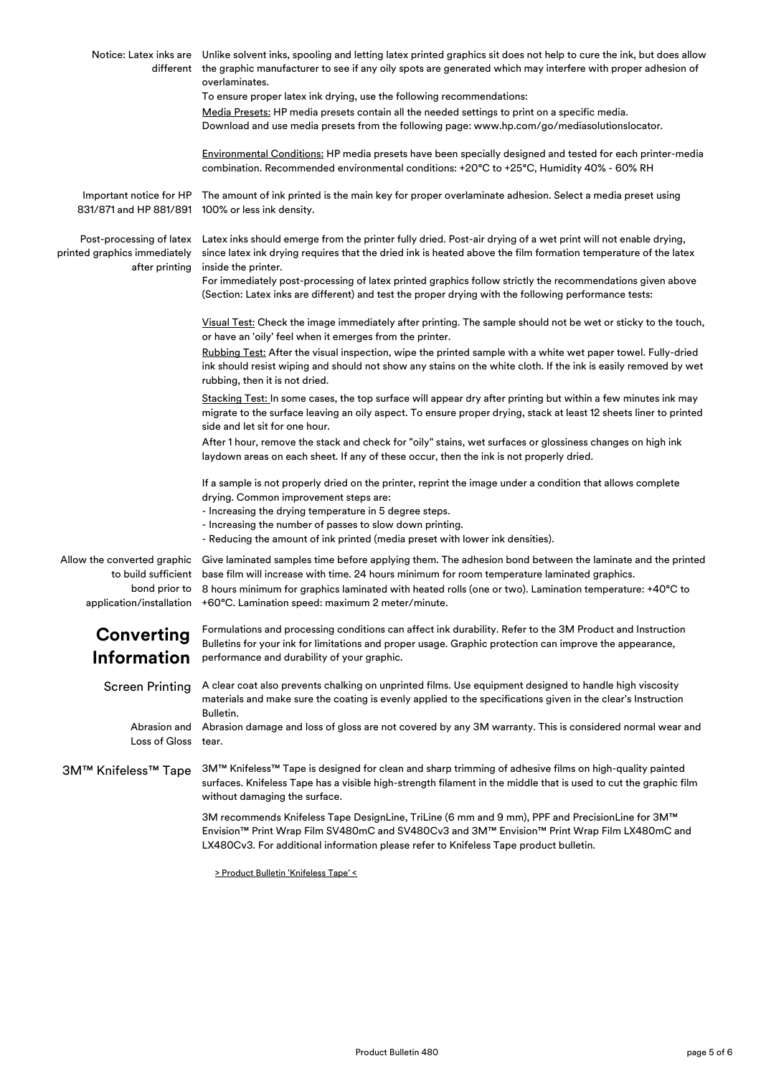|                                                                                                 | Notice: Latex inks are Unlike solvent inks, spooling and letting latex printed graphics sit does not help to cure the ink, but does allow<br>different the graphic manufacturer to see if any oily spots are generated which may interfere with proper adhesion of<br>overlaminates.                                                                                    |
|-------------------------------------------------------------------------------------------------|-------------------------------------------------------------------------------------------------------------------------------------------------------------------------------------------------------------------------------------------------------------------------------------------------------------------------------------------------------------------------|
|                                                                                                 | To ensure proper latex ink drying, use the following recommendations:                                                                                                                                                                                                                                                                                                   |
|                                                                                                 | Media Presets: HP media presets contain all the needed settings to print on a specific media.<br>Download and use media presets from the following page: www.hp.com/go/mediasolutionslocator.                                                                                                                                                                           |
|                                                                                                 | Environmental Conditions: HP media presets have been specially designed and tested for each printer-media<br>combination. Recommended environmental conditions: +20°C to +25°C, Humidity 40% - 60% RH                                                                                                                                                                   |
| Important notice for HP<br>831/871 and HP 881/891                                               | The amount of ink printed is the main key for proper overlaminate adhesion. Select a media preset using<br>100% or less ink density.                                                                                                                                                                                                                                    |
| Post-processing of latex<br>printed graphics immediately<br>after printing                      | Latex inks should emerge from the printer fully dried. Post-air drying of a wet print will not enable drying,<br>since latex ink drying requires that the dried ink is heated above the film formation temperature of the latex<br>inside the printer.                                                                                                                  |
|                                                                                                 | For immediately post-processing of latex printed graphics follow strictly the recommendations given above<br>(Section: Latex inks are different) and test the proper drying with the following performance tests:                                                                                                                                                       |
|                                                                                                 | Visual Test: Check the image immediately after printing. The sample should not be wet or sticky to the touch,<br>or have an 'oily' feel when it emerges from the printer.                                                                                                                                                                                               |
|                                                                                                 | Rubbing Test: After the visual inspection, wipe the printed sample with a white wet paper towel. Fully-dried<br>ink should resist wiping and should not show any stains on the white cloth. If the ink is easily removed by wet<br>rubbing, then it is not dried.                                                                                                       |
|                                                                                                 | Stacking Test: In some cases, the top surface will appear dry after printing but within a few minutes ink may<br>migrate to the surface leaving an oily aspect. To ensure proper drying, stack at least 12 sheets liner to printed<br>side and let sit for one hour.                                                                                                    |
|                                                                                                 | After 1 hour, remove the stack and check for "oily" stains, wet surfaces or glossiness changes on high ink<br>laydown areas on each sheet. If any of these occur, then the ink is not properly dried.                                                                                                                                                                   |
|                                                                                                 | If a sample is not properly dried on the printer, reprint the image under a condition that allows complete<br>drying. Common improvement steps are:<br>- Increasing the drying temperature in 5 degree steps.<br>- Increasing the number of passes to slow down printing.<br>- Reducing the amount of ink printed (media preset with lower ink densities).              |
|                                                                                                 |                                                                                                                                                                                                                                                                                                                                                                         |
| Allow the converted graphic<br>to build sufficient<br>bond prior to<br>application/installation | Give laminated samples time before applying them. The adhesion bond between the laminate and the printed<br>base film will increase with time. 24 hours minimum for room temperature laminated graphics.<br>8 hours minimum for graphics laminated with heated rolls (one or two). Lamination temperature: +40°C to<br>+60°C. Lamination speed: maximum 2 meter/minute. |
| <b>Converting</b><br><b>Information</b>                                                         | Formulations and processing conditions can affect ink durability. Refer to the 3M Product and Instruction<br>Bulletins for your ink for limitations and proper usage. Graphic protection can improve the appearance,<br>performance and durability of your graphic.                                                                                                     |
| <b>Screen Printing</b>                                                                          | A clear coat also prevents chalking on unprinted films. Use equipment designed to handle high viscosity<br>materials and make sure the coating is evenly applied to the specifications given in the clear's Instruction<br>Bulletin.                                                                                                                                    |
| Abrasion and<br>Loss of Gloss                                                                   | Abrasion damage and loss of gloss are not covered by any 3M warranty. This is considered normal wear and<br>tear.                                                                                                                                                                                                                                                       |
| 3M™ Knifeless™ Tape                                                                             | 3M™ Knifeless™ Tape is designed for clean and sharp trimming of adhesive films on high-quality painted<br>surfaces. Knifeless Tape has a visible high-strength filament in the middle that is used to cut the graphic film<br>without damaging the surface.                                                                                                             |
|                                                                                                 | 3M recommends Knifeless Tape DesignLine, TriLine (6 mm and 9 mm), PPF and PrecisionLine for 3M™<br>Envision™ Print Wrap Film SV480mC and SV480Cv3 and 3M™ Envision™ Print Wrap Film LX480mC and<br>LX480Cv3. For additional information please refer to Knifeless Tape product bulletin.                                                                                |
|                                                                                                 |                                                                                                                                                                                                                                                                                                                                                                         |

[> Product Bulletin 'Knifeless Tape' <](http://multimedia.3m.com/mws/media/1280126O/product-instruction-bulletin-knifeless-tape.pdf)